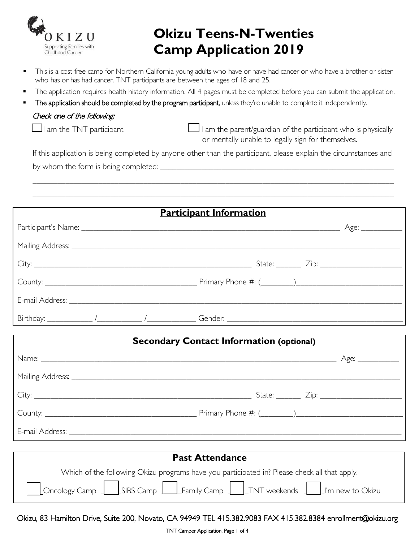

# **Okizu Teens-N-Twenties Camp Application 2019**

- This is a cost-free camp for Northern California young adults who have or have had cancer or who have a brother or sister who has or has had cancer. TNT participants are between the ages of 18 and 25.
- The application requires health history information. All 4 pages must be completed before you can submit the application.
- The application should be completed by the program participant, unless they're unable to complete it independently.

## Check one of the following:

 $\Box$ I am the TNT participant  $\Box$ I am the parent/guardian of the participant who is physically or mentally unable to legally sign for themselves.

 If this application is being completed by anyone other than the participant, please explain the circumstances and by whom the form is being completed:

 \_\_\_\_\_\_\_\_\_\_\_\_\_\_\_\_\_\_\_\_\_\_\_\_\_\_\_\_\_\_\_\_\_\_\_\_\_\_\_\_\_\_\_\_\_\_\_\_\_\_\_\_\_\_\_\_\_\_\_\_\_\_\_\_\_\_\_\_\_\_\_\_\_\_\_\_\_\_\_\_\_\_\_\_\_\_\_\_ \_\_\_\_\_\_\_\_\_\_\_\_\_\_\_\_\_\_\_\_\_\_\_\_\_\_\_\_\_\_\_\_\_\_\_\_\_\_\_\_\_\_\_\_\_\_\_\_\_\_\_\_\_\_\_\_\_\_\_\_\_\_\_\_\_\_\_\_\_\_\_\_\_\_\_\_\_\_\_\_\_\_\_\_\_\_\_\_

| <b>Participant Information</b> |                            |  |  |  |
|--------------------------------|----------------------------|--|--|--|
|                                |                            |  |  |  |
|                                |                            |  |  |  |
|                                | State: <u>2ip: 2ip: 31</u> |  |  |  |
|                                |                            |  |  |  |
|                                |                            |  |  |  |
|                                |                            |  |  |  |

| <b>Secondary Contact Information (optional)</b>                                              |                                                                           |  |
|----------------------------------------------------------------------------------------------|---------------------------------------------------------------------------|--|
|                                                                                              | Age: ___________                                                          |  |
|                                                                                              |                                                                           |  |
|                                                                                              |                                                                           |  |
|                                                                                              |                                                                           |  |
|                                                                                              |                                                                           |  |
| <b>Past Attendance</b>                                                                       |                                                                           |  |
| Which of the following Okizu programs have you participated in? Please check all that apply. |                                                                           |  |
|                                                                                              | Oncology Camp 1 SIBS Camp 1 Family Camp 1 TNT weekends 1 T'm new to Okizu |  |
|                                                                                              |                                                                           |  |

Okizu, 83 Hamilton Drive, Suite 200, Novato, CA 94949 TEL 415.382.9083 FAX 415.382.8384 enrollment@okizu.org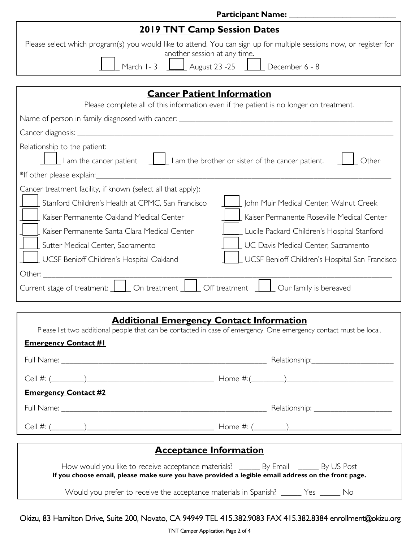| Participant Name: ______________                                                                                                                    |  |  |  |  |
|-----------------------------------------------------------------------------------------------------------------------------------------------------|--|--|--|--|
| <b>2019 TNT Camp Session Dates</b>                                                                                                                  |  |  |  |  |
| Please select which program(s) you would like to attend. You can sign up for multiple sessions now, or register for<br>another session at any time. |  |  |  |  |
|                                                                                                                                                     |  |  |  |  |
|                                                                                                                                                     |  |  |  |  |
| <b>Cancer Patient Information</b><br>Please complete all of this information even if the patient is no longer on treatment.                         |  |  |  |  |
|                                                                                                                                                     |  |  |  |  |
|                                                                                                                                                     |  |  |  |  |
| Relationship to the patient:<br>I am the cancer patient<br>I am the brother or sister of the cancer patient.<br>Other<br>*If other please explain:  |  |  |  |  |
| Cancer treatment facility, if known (select all that apply):                                                                                        |  |  |  |  |
| John Muir Medical Center, Walnut Creek<br>Stanford Children's Health at CPMC, San Francisco                                                         |  |  |  |  |
| Kaiser Permanente Oakland Medical Center<br>Kaiser Permanente Roseville Medical Center                                                              |  |  |  |  |
| Kaiser Permanente Santa Clara Medical Center<br>Lucile Packard Children's Hospital Stanford                                                         |  |  |  |  |
| UC Davis Medical Center, Sacramento<br>Sutter Medical Center, Sacramento                                                                            |  |  |  |  |
| UCSF Benioff Children's Hospital Oakland<br>UCSF Benioff Children's Hospital San Francisco                                                          |  |  |  |  |
| Other:                                                                                                                                              |  |  |  |  |
| Current stage of treatment: \[ \]<br>On treatment<br>Off treatment<br>Our family is bereaved                                                        |  |  |  |  |

## **Additional Emergency Contact Information**

Please list two additional people that can be contacted in case of emergency. One emergency contact must be local.

| <b>Emergency Contact #1</b>                                             |  |  |  |
|-------------------------------------------------------------------------|--|--|--|
|                                                                         |  |  |  |
|                                                                         |  |  |  |
| <b>Emergency Contact #2</b>                                             |  |  |  |
|                                                                         |  |  |  |
|                                                                         |  |  |  |
|                                                                         |  |  |  |
| <b>Acceptance Information</b>                                           |  |  |  |
| How would you like to receive acceptance materials? By Fmail By US Post |  |  |  |

| How would you like to receive acceptance materials?                                                | By Email | By US Post |    |
|----------------------------------------------------------------------------------------------------|----------|------------|----|
| If you choose email, please make sure you have provided a legible email address on the front page. |          |            |    |
| Would you prefer to receive the acceptance materials in Spanish?                                   |          | Yes        | No |

Okizu, 83 Hamilton Drive, Suite 200, Novato, CA 94949 TEL 415.382.9083 FAX 415.382.8384 enrollment@okizu.org

TNT Camper Application, Page 2 of 4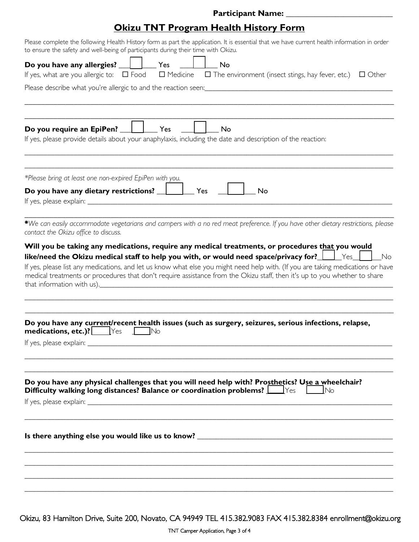### **Particinant Name:**

| <b>Farticipalit Name:</b>                                                                                                                                                                                                                                                                                                                                             |
|-----------------------------------------------------------------------------------------------------------------------------------------------------------------------------------------------------------------------------------------------------------------------------------------------------------------------------------------------------------------------|
| <b>Okizu TNT Program Health History Form</b>                                                                                                                                                                                                                                                                                                                          |
| Please complete the following Health History form as part the application. It is essential that we have current health information in order<br>to ensure the safety and well-being of participants during their time with Okizu.                                                                                                                                      |
| Do you have any allergies?     The Yes<br>No                                                                                                                                                                                                                                                                                                                          |
| If yes, what are you allergic to: $\Box$ Food $\Box$ Medicine $\Box$ The environment (insect stings, hay fever, etc.)<br>$\Box$ Other                                                                                                                                                                                                                                 |
|                                                                                                                                                                                                                                                                                                                                                                       |
| Do you require an EpiPen?     Yes<br><b>No</b><br>If yes, please provide details about your anaphylaxis, including the date and description of the reaction:                                                                                                                                                                                                          |
| *Please bring at least one non-expired EpiPen with you.                                                                                                                                                                                                                                                                                                               |
| Do you have any dietary restrictions?       Yes<br>No                                                                                                                                                                                                                                                                                                                 |
| *We can easily accommodate vegetarians and campers with a no red meat preference. If you have other dietary restrictions, please<br>contact the Okizu office to discuss.                                                                                                                                                                                              |
| Will you be taking any medications, require any medical treatments, or procedures that you would                                                                                                                                                                                                                                                                      |
| like/need the Okizu medical staff to help you with, or would need space/privacy for? $\Box$ Yes<br>No<br>If yes, please list any medications, and let us know what else you might need help with. (If you are taking medications or have<br>medical treatments or procedures that don't require assistance from the Okizu staff, then it's up to you whether to share |
| Do you have any current/recent health issues (such as surgery, seizures, serious infections, relapse,                                                                                                                                                                                                                                                                 |
| medications, etc.)? Yes Mo                                                                                                                                                                                                                                                                                                                                            |
|                                                                                                                                                                                                                                                                                                                                                                       |
| Do you have any physical challenges that you will need help with? Prosthetics? Use a wheelchair?<br>Difficulty walking long distances? Balance or coordination problems? Ves Ves No                                                                                                                                                                                   |
|                                                                                                                                                                                                                                                                                                                                                                       |
|                                                                                                                                                                                                                                                                                                                                                                       |

Okizu, 83 Hamilton Drive, Suite 200, Novato, CA 94949 TEL 415.382.9083 FAX 415.382.8384 enrollment@okizu.org

\_\_\_\_\_\_\_\_\_\_\_\_\_\_\_\_\_\_\_\_\_\_\_\_\_\_\_\_\_\_\_\_\_\_\_\_\_\_\_\_\_\_\_\_\_\_\_\_\_\_\_\_\_\_\_\_\_\_\_\_\_\_\_\_\_\_\_\_\_\_\_\_\_\_\_\_\_\_\_\_\_\_\_\_\_\_\_\_\_\_\_\_\_\_\_\_\_\_

TNT Camper Application, Page 3 of 4